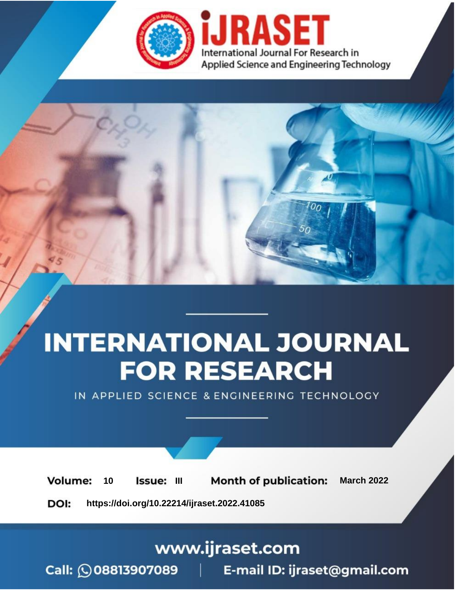

# **INTERNATIONAL JOURNAL FOR RESEARCH**

IN APPLIED SCIENCE & ENGINEERING TECHNOLOGY

10 **Issue: III Month of publication:** March 2022 **Volume:** 

**https://doi.org/10.22214/ijraset.2022.41085**DOI:

www.ijraset.com

Call: 008813907089 | E-mail ID: ijraset@gmail.com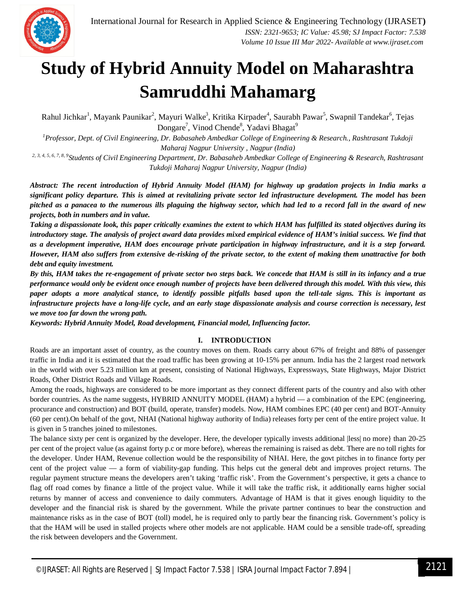

### **Study of Hybrid Annuity Model on Maharashtra Samruddhi Mahamarg**

Rahul Jichkar<sup>1</sup>, Mayank Paunikar<sup>2</sup>, Mayuri Walke<sup>3</sup>, Kritika Kirpader<sup>4</sup>, Saurabh Pawar<sup>5</sup>, Swapnil Tandekar<sup>6</sup>, Tejas Dongare<sup>7</sup>, Vinod Chende<sup>8</sup>, Yadavi Bhagat<sup>9</sup>

*<sup>1</sup>Professor, Dept. of Civil Engineering, Dr. Babasaheb Ambedkar College of Engineering & Research., Rashtrasant Tukdoji Maharaj Nagpur University , Nagpur (India)*

*2, 3, 4, 5, 6, 7, 8, 9 Students of Civil Engineering Department, Dr. Babasaheb Ambedkar College of Engineering & Research, Rashtrasant Tukdoji Maharaj Nagpur University, Nagpur (India)*

*Abstract: The recent introduction of Hybrid Annuity Model (HAM) for highway up gradation projects in India marks a significant policy departure. This is aimed at revitalizing private sector led infrastructure development. The model has been pitched as a panacea to the numerous ills plaguing the highway sector, which had led to a record fall in the award of new projects, both in numbers and in value.* 

*Taking a dispassionate look, this paper critically examines the extent to which HAM has fulfilled its stated objectives during its introductory stage. The analysis of project award data provides mixed empirical evidence of HAM's initial success. We find that as a development imperative, HAM does encourage private participation in highway infrastructure, and it is a step forward. However, HAM also suffers from extensive de-risking of the private sector, to the extent of making them unattractive for both debt and equity investment.* 

*By this, HAM takes the re-engagement of private sector two steps back. We concede that HAM is still in its infancy and a true performance would only be evident once enough number of projects have been delivered through this model. With this view, this paper adopts a more analytical stance, to identify possible pitfalls based upon the tell-tale signs. This is important as infrastructure projects have a long-life cycle, and an early stage dispassionate analysis and course correction is necessary, lest we move too far down the wrong path.*

*Keywords: Hybrid Annuity Model, Road development, Financial model, Influencing factor.*

#### **I. INTRODUCTION**

Roads are an important asset of country, as the country moves on them. Roads carry about 67% of freight and 88% of passenger traffic in India and it is estimated that the road traffic has been growing at 10-15% per annum. India has the 2 largest road network in the world with over 5.23 million km at present, consisting of National Highways, Expressways, State Highways, Major District Roads, Other District Roads and Village Roads.

Among the roads, highways are considered to be more important as they connect different parts of the country and also with other border countries. As the name suggests, HYBRID ANNUITY MODEL (HAM) a hybrid — a combination of the EPC (engineering, procurance and construction) and BOT (build, operate, transfer) models. Now, HAM combines EPC (40 per cent) and BOT-Annuity (60 per cent).On behalf of the govt, NHAI (National highway authority of India) releases forty per cent of the entire project value. It is given in 5 tranches joined to milestones.

The balance sixty per cent is organized by the developer. Here, the developer typically invests additional |less| no more} than 20-25 per cent of the project value (as against forty p.c or more before), whereas the remaining is raised as debt. There are no toll rights for the developer. Under HAM, Revenue collection would be the responsibility of NHAI. Here, the govt pitches in to finance forty per cent of the project value — a form of viability-gap funding. This helps cut the general debt and improves project returns. The regular payment structure means the developers aren't taking 'traffic risk'. From the Government's perspective, it gets a chance to flag off road comes by finance a little of the project value. While it will take the traffic risk, it additionally earns higher social returns by manner of access and convenience to daily commuters. Advantage of HAM is that it gives enough liquidity to the developer and the financial risk is shared by the government. While the private partner continues to bear the construction and maintenance risks as in the case of BOT (toll) model, he is required only to partly bear the financing risk. Government's policy is that the HAM will be used in stalled projects where other models are not applicable. HAM could be a sensible trade-off, spreading the risk between developers and the Government.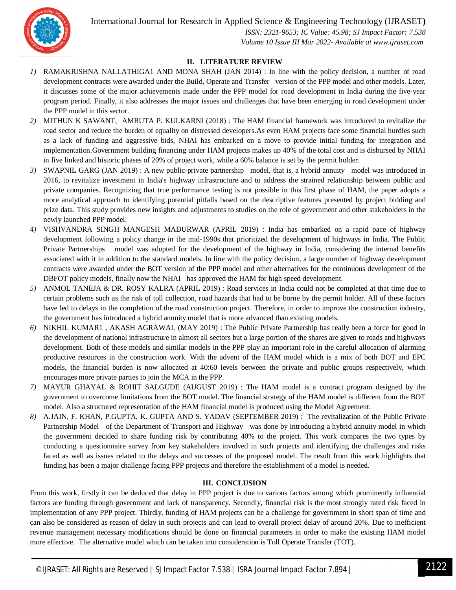International Journal for Research in Applied Science & Engineering Technology (IJRASET**)**  *ISSN: 2321-9653; IC Value: 45.98; SJ Impact Factor: 7.538*



 *Volume 10 Issue III Mar 2022- Available at www.ijraset.com*

#### **II. LITERATURE REVIEW**

- *1)* RAMAKRISHNA NALLATHIGA1 AND MONA SHAH (JAN 2014) : In line with the policy decision, a number of road development contracts were awarded under the Build, Operate and Transfer version of the PPP model and other models. Later, it discusses some of the major achievements made under the PPP model for road development in India during the five-year program period. Finally, it also addresses the major issues and challenges that have been emerging in road development under the PPP model in this sector.
- *2)* MITHUN K SAWANT, AMRUTA P. KULKARNI (2018) : The HAM financial framework was introduced to revitalize the road sector and reduce the burden of equality on distressed developers.As even HAM projects face some financial hurdles such as a lack of funding and aggressive bids, NHAI has embarked on a move to provide initial funding for integration and implementation.Government building financing under HAM projects makes up 40% of the total cost and is disbursed by NHAI in five linked and historic phases of 20% of project work, while a 60% balance is set by the permit holder.
- *3)* SWAPNIL GARG (JAN 2019) : A new public-private partnership model, that is, a hybrid annuity model was introduced in 2016, to revitalize investment in India's highway infrastructure and to address the strained relationship between public and private companies. Recognizing that true performance testing is not possible in this first phase of HAM, the paper adopts a more analytical approach to identifying potential pitfalls based on the descriptive features presented by project bidding and prize data. This study provides new insights and adjustments to studies on the role of government and other stakeholders in the newly launched PPP model.
- *4)* VISHVANDRA SINGH MANGESH MADURWAR (APRIL 2019) : India has embarked on a rapid pace of highway development following a policy change in the mid-1990s that prioritized the development of highways in India. The Public Private Partnerships model was adopted for the development of the highway in India, considering the internal benefits associated with it in addition to the standard models. In line with the policy decision, a large number of highway development contracts were awarded under the BOT version of the PPP model and other alternatives for the continuous development of the DBFOT policy models, finally now the NHAI has approved the HAM for high speed development.
- *5)* ANMOL TANEJA & DR. ROSY KALRA (APRIL 2019) : Road services in India could not be completed at that time due to certain problems such as the risk of toll collection, road hazards that had to be borne by the permit holder. All of these factors have led to delays in the completion of the road construction project. Therefore, in order to improve the construction industry, the government has introduced a hybrid annuity model that is more advanced than existing models.
- *6)* NIKHIL KUMAR1 , AKASH AGRAWAL (MAY 2019) : The Public Private Partnership has really been a force for good in the development of national infrastructure in almost all sectors but a large portion of the shares are given to roads and highways development. Both of these models and similar models in the PPP play an important role in the careful allocation of alarming productive resources in the construction work. With the advent of the HAM model which is a mix of both BOT and EPC models, the financial burden is now allocated at 40:60 levels between the private and public groups respectively, which encourages more private parties to join the MCA in the PPP.
- *7)* MAYUR GHAYAL & ROHIT SALGUDE (AUGUST 2019) : The HAM model is a contract program designed by the government to overcome limitations from the BOT model. The financial strategy of the HAM model is different from the BOT model. Also a structured representation of the HAM financial model is produced using the Model Agreement.
- *8)* A.JAIN, F. KHAN, P.GUPTA, K. GUPTA AND S. YADAV (SEPTEMBER 2019) : The revitalization of the Public Private Partnership Model of the Department of Transport and Highway was done by introducing a hybrid annuity model in which the government decided to share funding risk by contributing 40% to the project. This work compares the two types by conducting a questionnaire survey from key stakeholders involved in such projects and identifying the challenges and risks faced as well as issues related to the delays and successes of the proposed model. The result from this work highlights that funding has been a major challenge facing PPP projects and therefore the establishment of a model is needed.

#### **III. CONCLUSION**

From this work, firstly it can be deduced that delay in PPP project is due to various factors among which prominently influential factors are funding through government and lack of transparency. Secondly, financial risk is the most strongly rated risk faced in implementation of any PPP project. Thirdly, funding of HAM projects can be a challenge for government in short span of time and can also be considered as reason of delay in such projects and can lead to overall project delay of around 20%. Due to inefficient revenue management necessary modifications should be done on financial parameters in order to make the existing HAM model more effective. The alternative model which can be taken into consideration is Toll Operate Transfer (TOT).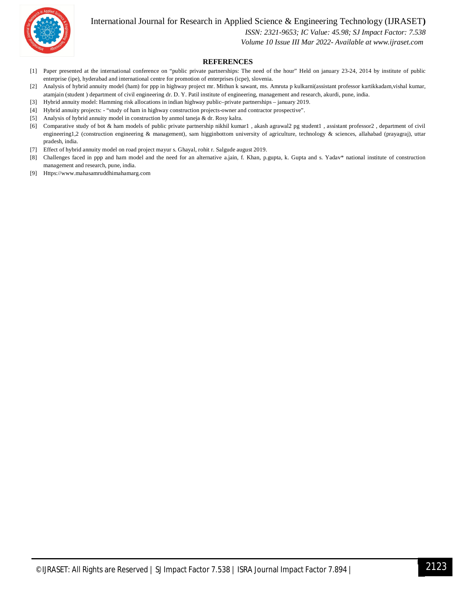International Journal for Research in Applied Science & Engineering Technology (IJRASET**)**



 *ISSN: 2321-9653; IC Value: 45.98; SJ Impact Factor: 7.538*

 *Volume 10 Issue III Mar 2022- Available at www.ijraset.com*

#### **REFERENCES**

- [1] Paper presented at the international conference on "public private partnerships: The need of the hour" Held on january 23-24, 2014 by institute of public enterprise (ipe), hyderabad and international centre for promotion of enterprises (icpe), slovenia.
- [2] Analysis of hybrid annuity model (ham) for ppp in highway project mr. Mithun k sawant, ms. Amruta p kulkarni(assistant professor kartikkadam,vishal kumar, atamjain (student ) department of civil engineering dr. D. Y. Patil institute of engineering, management and research, akurdi, pune, india.
- [3] Hybrid annuity model: Hamming risk allocations in indian highway public–private partnerships january 2019.
- [4] Hybrid annuity projects: "study of ham in highway construction projects-owner and contractor prospective".
- [5] Analysis of hybrid annuity model in construction by anmol taneja & dr. Rosy kalra.
- [6] Comparative study of bot & ham models of public private partnership nikhil kumar1, akash agrawal2 pg student1, assistant professor2, department of civil engineering1,2 (construction engineering & management), sam higginbottom university of agriculture, technology & sciences, allahabad (prayagraj), uttar pradesh, india.
- [7] Effect of hybrid annuity model on road project mayur s. Ghayal, rohit r. Salgude august 2019.
- [8] Challenges faced in ppp and ham model and the need for an alternative a.jain, f. Khan, p.gupta, k. Gupta and s. Yadav\* national institute of construction management and research, pune, india.
- [9] Https://www.mahasamruddhimahamarg.com